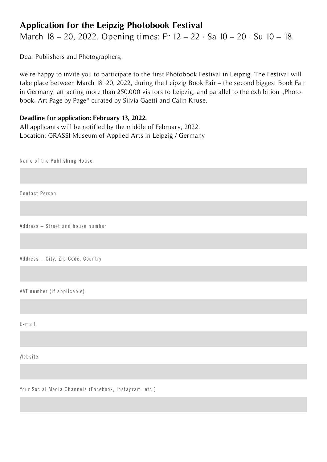## **Application for the Leipzig Photobook Festival**

March 18 – 20, 2022. Opening times: Fr 12 – 22 · Sa 10 – 20 · Su 10 – 18.

Dear Publishers and Photographers,

we're happy to invite you to participate to the first Photobook Festival in Leipzig. The Festival will take place between March 18 -20, 2022, during the Leipzig Book Fair – the second biggest Book Fair in Germany, attracting more than 250.000 visitors to Leipzig, and parallel to the exhibition "Photobook. Art Page by Page" curated by Silvia Gaetti and Calin Kruse.

## **Deadline for application: February 13, 2022.**

All applicants will be notified by the middle of February, 2022. Location: GRASSI Museum of Applied Arts in Leipzig / Germany

Name of the Publishing House

Contact Person

Address – Street and house number

Address – City, Zip Code, Country

VAT number (if applicable)

E-mail

Website

Your Social Media Channels (Facebook, Instagram, etc.)